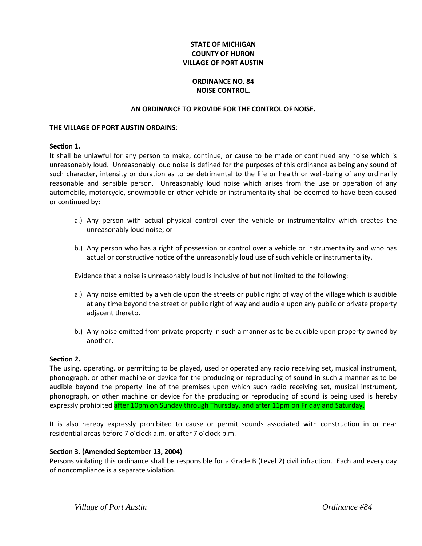## **STATE OF MICHIGAN COUNTY OF HURON VILLAGE OF PORT AUSTIN**

# **ORDINANCE NO. 84 NOISE CONTROL.**

### **AN ORDINANCE TO PROVIDE FOR THE CONTROL OF NOISE.**

#### **THE VILLAGE OF PORT AUSTIN ORDAINS**:

### **Section 1.**

It shall be unlawful for any person to make, continue, or cause to be made or continued any noise which is unreasonably loud. Unreasonably loud noise is defined for the purposes of this ordinance as being any sound of such character, intensity or duration as to be detrimental to the life or health or well-being of any ordinarily reasonable and sensible person. Unreasonably loud noise which arises from the use or operation of any automobile, motorcycle, snowmobile or other vehicle or instrumentality shall be deemed to have been caused or continued by:

- a.) Any person with actual physical control over the vehicle or instrumentality which creates the unreasonably loud noise; or
- b.) Any person who has a right of possession or control over a vehicle or instrumentality and who has actual or constructive notice of the unreasonably loud use of such vehicle or instrumentality.

Evidence that a noise is unreasonably loud is inclusive of but not limited to the following:

- a.) Any noise emitted by a vehicle upon the streets or public right of way of the village which is audible at any time beyond the street or public right of way and audible upon any public or private property adjacent thereto.
- b.) Any noise emitted from private property in such a manner as to be audible upon property owned by another.

### **Section 2.**

The using, operating, or permitting to be played, used or operated any radio receiving set, musical instrument, phonograph, or other machine or device for the producing or reproducing of sound in such a manner as to be audible beyond the property line of the premises upon which such radio receiving set, musical instrument, phonograph, or other machine or device for the producing or reproducing of sound is being used is hereby expressly prohibited after 10pm on Sunday through Thursday, and after 11pm on Friday and Saturday.

It is also hereby expressly prohibited to cause or permit sounds associated with construction in or near residential areas before 7 o'clock a.m. or after 7 o'clock p.m.

### **Section 3. (Amended September 13, 2004)**

Persons violating this ordinance shall be responsible for a Grade B (Level 2) civil infraction. Each and every day of noncompliance is a separate violation.